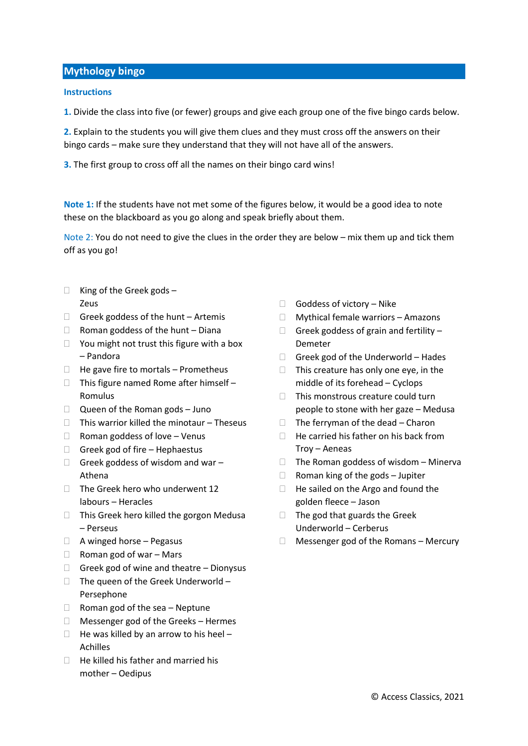## **Mythology bingo**

## **Instructions**

**1.** Divide the class into five (or fewer) groups and give each group one of the five bingo cards below.

**2.** Explain to the students you will give them clues and they must cross off the answers on their bingo cards – make sure they understand that they will not have all of the answers.

**3.** The first group to cross off all the names on their bingo card wins!

**Note 1:** If the students have not met some of the figures below, it would be a good idea to note these on the blackboard as you go along and speak briefly about them.

Note 2: You do not need to give the clues in the order they are below – mix them up and tick them off as you go!

- $\Box$  King of the Greek gods -Zeus
- $\Box$  Greek goddess of the hunt Artemis
- $\Box$  Roman goddess of the hunt Diana
- $\Box$  You might not trust this figure with a box – Pandora
- $\Box$  He gave fire to mortals Prometheus
- $\Box$  This figure named Rome after himself -Romulus
- $\Box$  Queen of the Roman gods Juno
- $\Box$  This warrior killed the minotaur Theseus
- $\Box$  Roman goddess of love Venus
- $\Box$  Greek god of fire Hephaestus
- $\Box$  Greek goddess of wisdom and war Athena
- $\Box$  The Greek hero who underwent 12 labours – Heracles
- $\Box$  This Greek hero killed the gorgon Medusa – Perseus
- $\Box$  A winged horse Pegasus
- $\Box$  Roman god of war Mars
- $\Box$  Greek god of wine and theatre Dionysus
- $\Box$  The queen of the Greek Underworld Persephone
- $\Box$  Roman god of the sea Neptune
- Messenger god of the Greeks Hermes
- $\Box$  He was killed by an arrow to his heel -Achilles
- $\Box$  He killed his father and married his mother – Oedipus
- $\Box$  Goddess of victory Nike
- □ Mythical female warriors Amazons
- $\Box$  Greek goddess of grain and fertility Demeter
- $\Box$  Greek god of the Underworld Hades
- $\Box$  This creature has only one eye, in the middle of its forehead – Cyclops
- $\Box$  This monstrous creature could turn people to stone with her gaze – Medusa
- $\Box$  The ferryman of the dead Charon
- $\Box$  He carried his father on his back from Troy – Aeneas
- $\Box$  The Roman goddess of wisdom Minerva
- $\Box$  Roman king of the gods Jupiter
- $\Box$  He sailed on the Argo and found the golden fleece – Jason
- $\Box$  The god that guards the Greek Underworld – Cerberus
- $\Box$  Messenger god of the Romans Mercury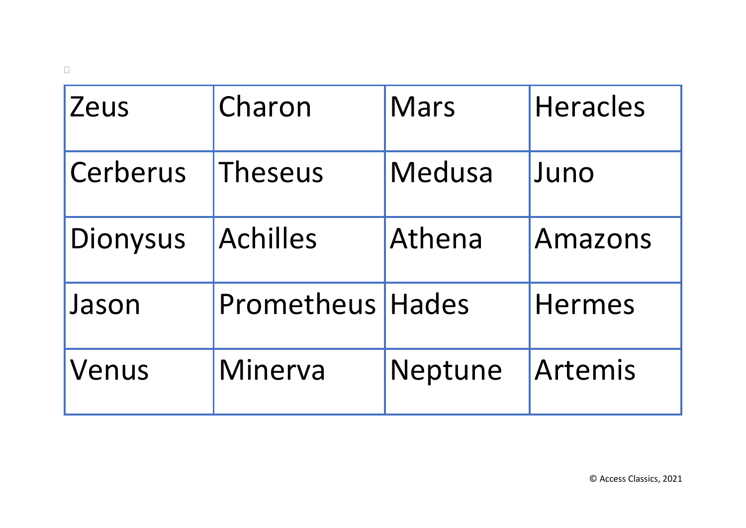| Zeus     | Charon                  | <b>Mars</b> | <b>Heracles</b> |
|----------|-------------------------|-------------|-----------------|
| Cerberus | <b>Theseus</b>          | Medusa      | Juno            |
| Dionysus | <b>Achilles</b>         | Athena      | Amazons         |
| Jason    | <b>Prometheus Hades</b> |             | <b>Hermes</b>   |
| Venus    | Minerva                 | Neptune     | Artemis         |

 $\hfill \square$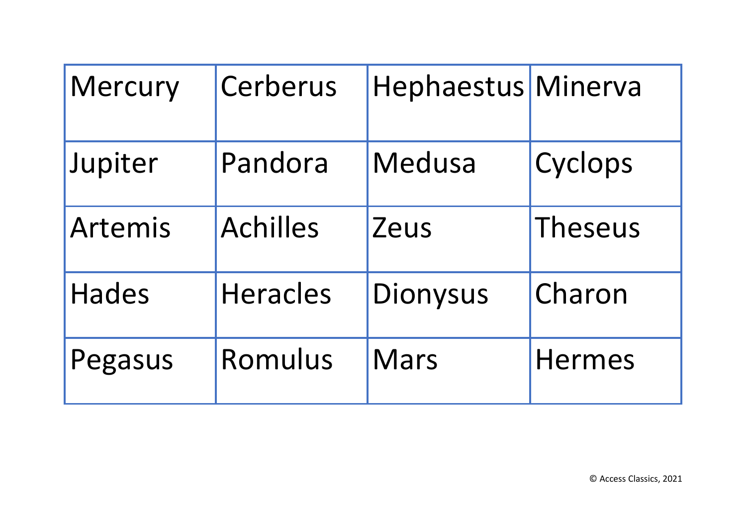| <b>Mercury</b> | Cerberus        | Hephaestus Minerva |                |
|----------------|-----------------|--------------------|----------------|
| Jupiter        | Pandora         | <b>Medusa</b>      | Cyclops        |
| Artemis        | <b>Achilles</b> | Zeus               | <b>Theseus</b> |
| <b>Hades</b>   | <b>Heracles</b> | <b>Dionysus</b>    | Charon         |
| Pegasus        | Romulus         | <b>Mars</b>        | <b>Hermes</b>  |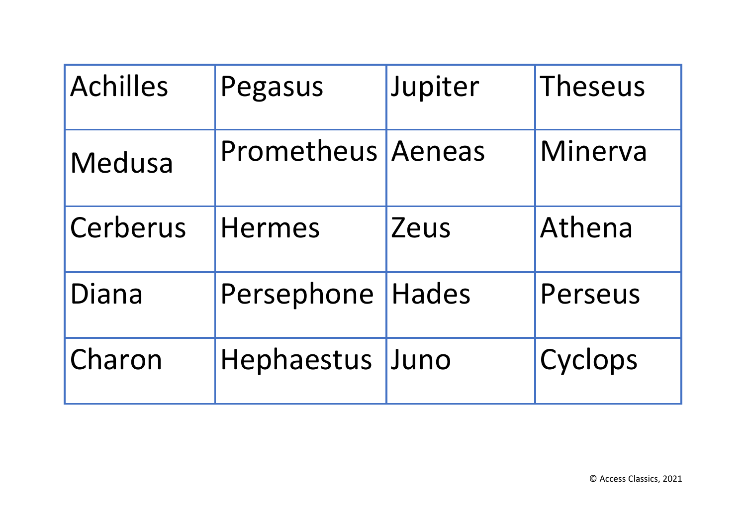| <b>Achilles</b> | Pegasus                  | Jupiter | Theseus |
|-----------------|--------------------------|---------|---------|
| Medusa          | <b>Prometheus Aeneas</b> |         | Minerva |
| Cerberus        | <b>Hermes</b>            | Zeus    | Athena  |
| Diana           | Persephone   Hades       |         | Perseus |
| Charon          | Hephaestus               | Juno    | Cyclops |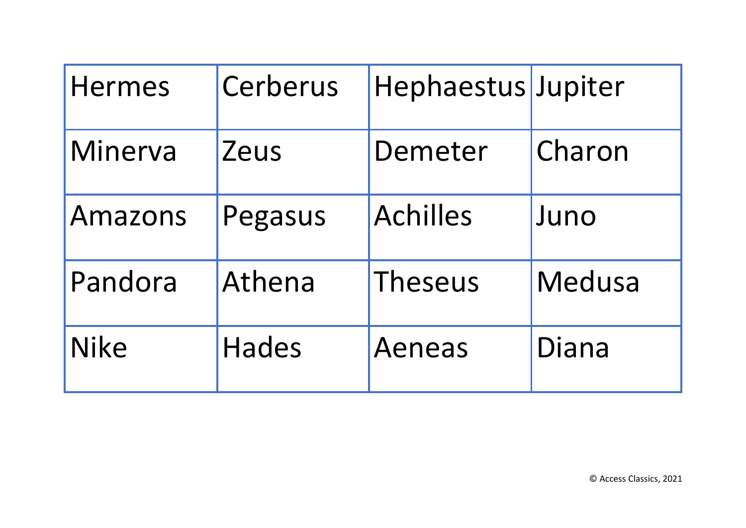| <b>Hermes</b> | Cerberus     | Hephaestus Jupiter |        |
|---------------|--------------|--------------------|--------|
| Minerva       | Zeus         | Demeter            | Charon |
| Amazons       | Pegasus      | <b>Achilles</b>    | Juno   |
| Pandora       | Athena       | <b>Theseus</b>     | Medusa |
| <b>Nike</b>   | <b>Hades</b> | <b>Aeneas</b>      | Diana  |